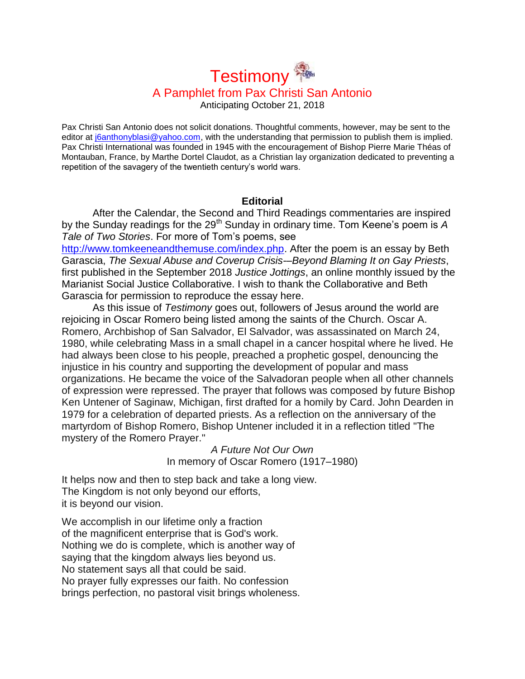# **Testimony** A Pamphlet from Pax Christi San Antonio

Anticipating October 21, 2018

Pax Christi San Antonio does not solicit donations. Thoughtful comments, however, may be sent to the editor at [j6anthonyblasi@yahoo.com,](mailto:j6anthonyblasi@yahoo.com) with the understanding that permission to publish them is implied. Pax Christi International was founded in 1945 with the encouragement of Bishop Pierre Marie Théas of Montauban, France, by Marthe Dortel Claudot, as a Christian lay organization dedicated to preventing a repetition of the savagery of the twentieth century's world wars.

# **Editorial**

After the Calendar, the Second and Third Readings commentaries are inspired by the Sunday readings for the 29<sup>th</sup> Sunday in ordinary time. Tom Keene's poem is A *Tale of Two Stories*. For more of Tom's poems, see

[http://www.tomkeeneandthemuse.com/index.php.](http://www.tomkeeneandthemuse.com/index.php) After the poem is an essay by Beth Garascia, *The Sexual Abuse and Coverup Crisis-–Beyond Blaming It on Gay Priests*, first published in the September 2018 *Justice Jottings*, an online monthly issued by the Marianist Social Justice Collaborative. I wish to thank the Collaborative and Beth Garascia for permission to reproduce the essay here.

As this issue of *Testimony* goes out, followers of Jesus around the world are rejoicing in Oscar Romero being listed among the saints of the Church. Oscar A. Romero, Archbishop of San Salvador, El Salvador, was assassinated on March 24, 1980, while celebrating Mass in a small chapel in a cancer hospital where he lived. He had always been close to his people, preached a prophetic gospel, denouncing the injustice in his country and supporting the development of popular and mass organizations. He became the voice of the Salvadoran people when all other channels of expression were repressed. The prayer that follows was composed by future Bishop Ken Untener of Saginaw, Michigan, first drafted for a homily by Card. John Dearden in 1979 for a celebration of departed priests. As a reflection on the anniversary of the martyrdom of Bishop Romero, Bishop Untener included it in a reflection titled "The mystery of the Romero Prayer."

*A Future Not Our Own* In memory of Oscar Romero (1917–1980)

It helps now and then to step back and take a long view. The Kingdom is not only beyond our efforts, it is beyond our vision.

We accomplish in our lifetime only a fraction of the magnificent enterprise that is God's work. Nothing we do is complete, which is another way of saying that the kingdom always lies beyond us. No statement says all that could be said. No prayer fully expresses our faith. No confession brings perfection, no pastoral visit brings wholeness.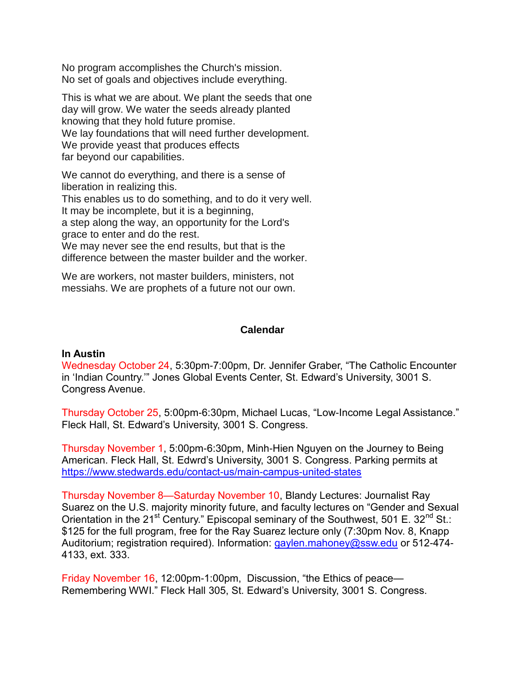No program accomplishes the Church's mission. No set of goals and objectives include everything.

This is what we are about. We plant the seeds that one day will grow. We water the seeds already planted knowing that they hold future promise. We lay foundations that will need further development. We provide yeast that produces effects far beyond our capabilities.

We cannot do everything, and there is a sense of liberation in realizing this.

This enables us to do something, and to do it very well.

It may be incomplete, but it is a beginning,

a step along the way, an opportunity for the Lord's grace to enter and do the rest.

We may never see the end results, but that is the difference between the master builder and the worker.

We are workers, not master builders, ministers, not messiahs. We are prophets of a future not our own.

# **Calendar**

# **In Austin**

Wednesday October 24, 5:30pm-7:00pm, Dr. Jennifer Graber, "The Catholic Encounter in 'Indian Country.'" Jones Global Events Center, St. Edward's University, 3001 S. Congress Avenue.

Thursday October 25, 5:00pm-6:30pm, Michael Lucas, "Low-Income Legal Assistance." Fleck Hall, St. Edward's University, 3001 S. Congress.

Thursday November 1, 5:00pm-6:30pm, Minh-Hien Nguyen on the Journey to Being American. Fleck Hall, St. Edwrd's University, 3001 S. Congress. Parking permits at <https://www.stedwards.edu/contact-us/main-campus-united-states>

Thursday November 8—Saturday November 10, Blandy Lectures: Journalist Ray Suarez on the U.S. majority minority future, and faculty lectures on "Gender and Sexual Orientation in the 21<sup>st</sup> Century." Episcopal seminary of the Southwest, 501 E. 32<sup>nd</sup> St.: \$125 for the full program, free for the Ray Suarez lecture only (7:30pm Nov. 8, Knapp Auditorium; registration required). Information: [gaylen.mahoney@ssw.edu](mailto:gaylen.mahoney@ssw.edu) or 512-474-4133, ext. 333.

Friday November 16, 12:00pm-1:00pm, Discussion, "the Ethics of peace— Remembering WWI." Fleck Hall 305, St. Edward's University, 3001 S. Congress.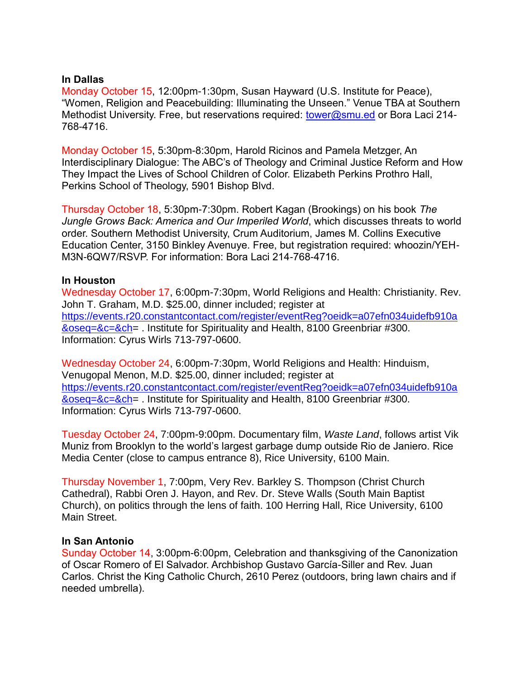# **In Dallas**

Monday October 15, 12:00pm-1:30pm, Susan Hayward (U.S. Institute for Peace), "Women, Religion and Peacebuilding: Illuminating the Unseen." Venue TBA at Southern Methodist University. Free, but reservations required: [tower@smu.ed](mailto:tower@smu.ed) or Bora Laci 214-768-4716.

Monday October 15, 5:30pm-8:30pm, Harold Ricinos and Pamela Metzger, An Interdisciplinary Dialogue: The ABC's of Theology and Criminal Justice Reform and How They Impact the Lives of School Children of Color. Elizabeth Perkins Prothro Hall, Perkins School of Theology, 5901 Bishop Blvd.

Thursday October 18, 5:30pm-7:30pm. Robert Kagan (Brookings) on his book *The Jungle Grows Back: America and Our Imperiled World*, which discusses threats to world order. Southern Methodist University, Crum Auditorium, James M. Collins Executive Education Center, 3150 Binkley Avenuye. Free, but registration required: whoozin/YEH-M3N-6QW7/RSVP. For information: Bora Laci 214-768-4716.

# **In Houston**

Wednesday October 17, 6:00pm-7:30pm, World Religions and Health: Christianity. Rev. John T. Graham, M.D. \$25.00, dinner included; register at [https://events.r20.constantcontact.com/register/eventReg?oeidk=a07efn034uidefb910a](https://events.r20.constantcontact.com/register/eventReg?oeidk=a07efn034uidefb910a&oseq=&c=&ch) [&oseq=&c=&ch=](https://events.r20.constantcontact.com/register/eventReg?oeidk=a07efn034uidefb910a&oseq=&c=&ch) . Institute for Spirituality and Health, 8100 Greenbriar #300. Information: Cyrus Wirls 713-797-0600.

Wednesday October 24, 6:00pm-7:30pm, World Religions and Health: Hinduism, Venugopal Menon, M.D. \$25.00, dinner included; register at [https://events.r20.constantcontact.com/register/eventReg?oeidk=a07efn034uidefb910a](https://events.r20.constantcontact.com/register/eventReg?oeidk=a07efn034uidefb910a&oseq=&c=&ch) [&oseq=&c=&ch=](https://events.r20.constantcontact.com/register/eventReg?oeidk=a07efn034uidefb910a&oseq=&c=&ch) . Institute for Spirituality and Health, 8100 Greenbriar #300. Information: Cyrus Wirls 713-797-0600.

Tuesday October 24, 7:00pm-9:00pm. Documentary film, *Waste Land*, follows artist Vik Muniz from Brooklyn to the world's largest garbage dump outside Rio de Janiero. Rice Media Center (close to campus entrance 8), Rice University, 6100 Main.

Thursday November 1, 7:00pm, Very Rev. Barkley S. Thompson (Christ Church Cathedral), Rabbi Oren J. Hayon, and Rev. Dr. Steve Walls (South Main Baptist Church), on politics through the lens of faith. 100 Herring Hall, Rice University, 6100 Main Street.

# **In San Antonio**

Sunday October 14, 3:00pm-6:00pm, Celebration and thanksgiving of the Canonization of Oscar Romero of El Salvador. Archbishop Gustavo García-Siller and Rev. Juan Carlos. Christ the King Catholic Church, 2610 Perez (outdoors, bring lawn chairs and if needed umbrella).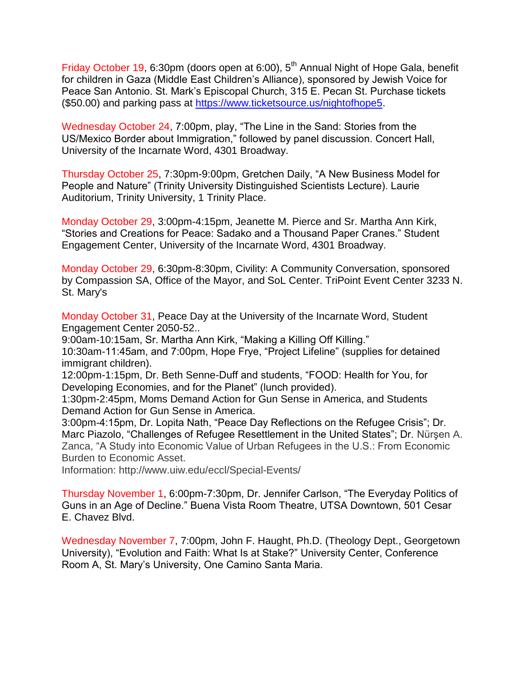Friday October 19, 6:30pm (doors open at 6:00), 5<sup>th</sup> Annual Night of Hope Gala, benefit for children in Gaza (Middle East Children's Alliance), sponsored by Jewish Voice for Peace San Antonio. St. Mark's Episcopal Church, 315 E. Pecan St. Purchase tickets (\$50.00) and parking pass at [https://www.ticketsource.us/nightofhope5.](https://www.ticketsource.us/nightofhope5)

Wednesday October 24, 7:00pm, play, "The Line in the Sand: Stories from the US/Mexico Border about Immigration," followed by panel discussion. Concert Hall, University of the Incarnate Word, 4301 Broadway.

Thursday October 25, 7:30pm-9:00pm, Gretchen Daily, "A New Business Model for People and Nature" (Trinity University Distinguished Scientists Lecture). Laurie Auditorium, Trinity University, 1 Trinity Place.

Monday October 29, 3:00pm-4:15pm, Jeanette M. Pierce and Sr. Martha Ann Kirk, "Stories and Creations for Peace: Sadako and a Thousand Paper Cranes." Student Engagement Center, University of the Incarnate Word, 4301 Broadway.

Monday October 29, 6:30pm-8:30pm, Civility: A Community Conversation, sponsored by Compassion SA, Office of the Mayor, and SoL Center. TriPoint Event Center 3233 N. St. Mary's

Monday October 31, Peace Day at the University of the Incarnate Word, Student Engagement Center 2050-52..

9:00am-10:15am, Sr. Martha Ann Kirk, "Making a Killing Off Killing."

10:30am-11:45am, and 7:00pm, Hope Frye, "Project Lifeline" (supplies for detained immigrant children).

12:00pm-1:15pm, Dr. Beth Senne-Duff and students, "FOOD: Health for You, for Developing Economies, and for the Planet" (lunch provided).

1:30pm-2:45pm, Moms Demand Action for Gun Sense in America, and Students Demand Action for Gun Sense in America.

3:00pm-4:15pm, Dr. Lopita Nath, "Peace Day Reflections on the Refugee Crisis"; Dr. Marc Piazolo, "Challenges of Refugee Resettlement in the United States"; Dr. Nürşen A. Zanca, "A Study into Economic Value of Urban Refugees in the U.S.: From Economic Burden to Economic Asset.

Information: http://www.uiw.edu/eccl/Special-Events/

Thursday November 1, 6:00pm-7:30pm, Dr. Jennifer Carlson, "The Everyday Politics of Guns in an Age of Decline." Buena Vista Room Theatre, UTSA Downtown, 501 Cesar E. Chavez Blvd.

Wednesday November 7, 7:00pm, John F. Haught, Ph.D. (Theology Dept., Georgetown University), "Evolution and Faith: What Is at Stake?" University Center, Conference Room A, St. Mary's University, One Camino Santa Maria.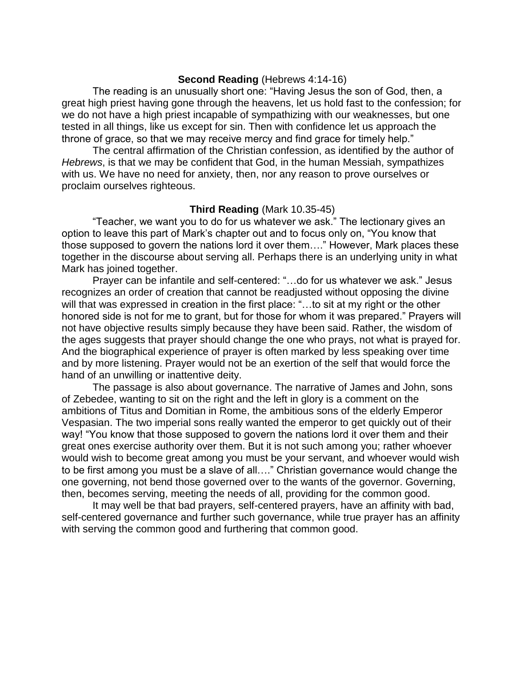#### **Second Reading** (Hebrews 4:14-16)

The reading is an unusually short one: "Having Jesus the son of God, then, a great high priest having gone through the heavens, let us hold fast to the confession; for we do not have a high priest incapable of sympathizing with our weaknesses, but one tested in all things, like us except for sin. Then with confidence let us approach the throne of grace, so that we may receive mercy and find grace for timely help."

The central affirmation of the Christian confession, as identified by the author of *Hebrews*, is that we may be confident that God, in the human Messiah, sympathizes with us. We have no need for anxiety, then, nor any reason to prove ourselves or proclaim ourselves righteous.

#### **Third Reading** (Mark 10.35-45)

"Teacher, we want you to do for us whatever we ask." The lectionary gives an option to leave this part of Mark's chapter out and to focus only on, "You know that those supposed to govern the nations lord it over them…." However, Mark places these together in the discourse about serving all. Perhaps there is an underlying unity in what Mark has joined together.

Prayer can be infantile and self-centered: "…do for us whatever we ask." Jesus recognizes an order of creation that cannot be readjusted without opposing the divine will that was expressed in creation in the first place: "...to sit at my right or the other honored side is not for me to grant, but for those for whom it was prepared." Prayers will not have objective results simply because they have been said. Rather, the wisdom of the ages suggests that prayer should change the one who prays, not what is prayed for. And the biographical experience of prayer is often marked by less speaking over time and by more listening. Prayer would not be an exertion of the self that would force the hand of an unwilling or inattentive deity.

The passage is also about governance. The narrative of James and John, sons of Zebedee, wanting to sit on the right and the left in glory is a comment on the ambitions of Titus and Domitian in Rome, the ambitious sons of the elderly Emperor Vespasian. The two imperial sons really wanted the emperor to get quickly out of their way! "You know that those supposed to govern the nations lord it over them and their great ones exercise authority over them. But it is not such among you; rather whoever would wish to become great among you must be your servant, and whoever would wish to be first among you must be a slave of all…." Christian governance would change the one governing, not bend those governed over to the wants of the governor. Governing, then, becomes serving, meeting the needs of all, providing for the common good.

It may well be that bad prayers, self-centered prayers, have an affinity with bad, self-centered governance and further such governance, while true prayer has an affinity with serving the common good and furthering that common good.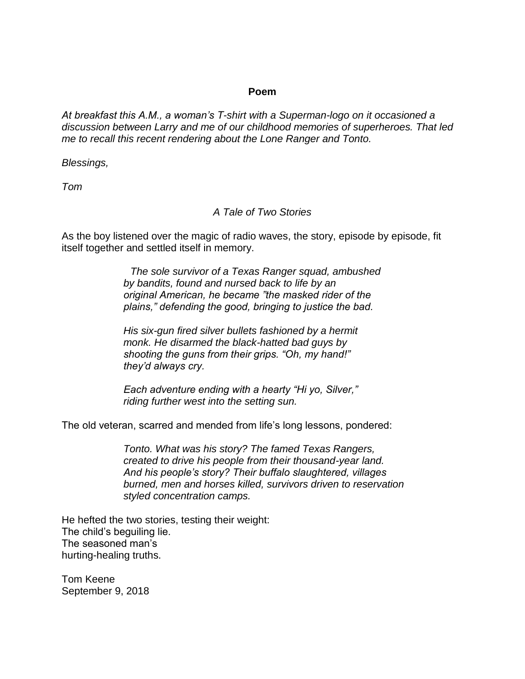# **Poem**

*At breakfast this A.M., a woman's T-shirt with a Superman-logo on it occasioned a discussion between Larry and me of our childhood memories of superheroes. That led me to recall this recent rendering about the Lone Ranger and Tonto.*

*Blessings,*

*Tom*

# *A Tale of Two Stories*

As the boy listened over the magic of radio waves, the story, episode by episode, fit itself together and settled itself in memory.

> *The sole survivor of a Texas Ranger squad, ambushed by bandits, found and nursed back to life by an original American, he became "the masked rider of the plains," defending the good, bringing to justice the bad.*

*His six-gun fired silver bullets fashioned by a hermit monk. He disarmed the black-hatted bad guys by shooting the guns from their grips. "Oh, my hand!" they'd always cry.*

*Each adventure ending with a hearty "Hi yo, Silver," riding further west into the setting sun.*

The old veteran, scarred and mended from life's long lessons, pondered:

*Tonto. What was his story? The famed Texas Rangers, created to drive his people from their thousand-year land. And his people's story? Their buffalo slaughtered, villages burned, men and horses killed, survivors driven to reservation styled concentration camps.*

He hefted the two stories, testing their weight: The child's beguiling lie. The seasoned man's hurting-healing truths.

Tom Keene September 9, 2018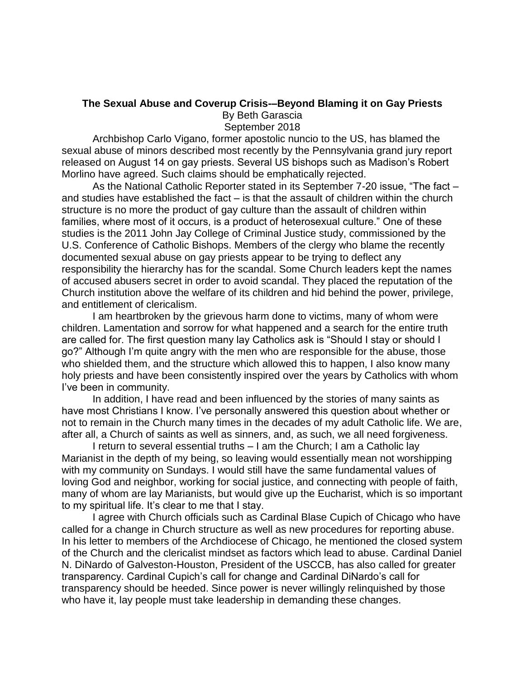# **The Sexual Abuse and Coverup Crisis-–Beyond Blaming it on Gay Priests**

By Beth Garascia

September 2018

Archbishop Carlo Vigano, former apostolic nuncio to the US, has blamed the sexual abuse of minors described most recently by the Pennsylvania grand jury report released on August 14 on gay priests. Several US bishops such as Madison's Robert Morlino have agreed. Such claims should be emphatically rejected.

As the National Catholic Reporter stated in its September 7-20 issue, "The fact – and studies have established the fact – is that the assault of children within the church structure is no more the product of gay culture than the assault of children within families, where most of it occurs, is a product of heterosexual culture." One of these studies is the 2011 John Jay College of Criminal Justice study, commissioned by the U.S. Conference of Catholic Bishops. Members of the clergy who blame the recently documented sexual abuse on gay priests appear to be trying to deflect any responsibility the hierarchy has for the scandal. Some Church leaders kept the names of accused abusers secret in order to avoid scandal. They placed the reputation of the Church institution above the welfare of its children and hid behind the power, privilege, and entitlement of clericalism.

I am heartbroken by the grievous harm done to victims, many of whom were children. Lamentation and sorrow for what happened and a search for the entire truth are called for. The first question many lay Catholics ask is "Should I stay or should I go?" Although I'm quite angry with the men who are responsible for the abuse, those who shielded them, and the structure which allowed this to happen, I also know many holy priests and have been consistently inspired over the years by Catholics with whom I've been in community.

In addition, I have read and been influenced by the stories of many saints as have most Christians I know. I've personally answered this question about whether or not to remain in the Church many times in the decades of my adult Catholic life. We are, after all, a Church of saints as well as sinners, and, as such, we all need forgiveness.

I return to several essential truths – I am the Church; I am a Catholic lay Marianist in the depth of my being, so leaving would essentially mean not worshipping with my community on Sundays. I would still have the same fundamental values of loving God and neighbor, working for social justice, and connecting with people of faith, many of whom are lay Marianists, but would give up the Eucharist, which is so important to my spiritual life. It's clear to me that I stay.

I agree with Church officials such as Cardinal Blase Cupich of Chicago who have called for a change in Church structure as well as new procedures for reporting abuse. In his letter to members of the Archdiocese of Chicago, he mentioned the closed system of the Church and the clericalist mindset as factors which lead to abuse. Cardinal Daniel N. DiNardo of Galveston-Houston, President of the USCCB, has also called for greater transparency. Cardinal Cupich's call for change and Cardinal DiNardo's call for transparency should be heeded. Since power is never willingly relinquished by those who have it, lay people must take leadership in demanding these changes.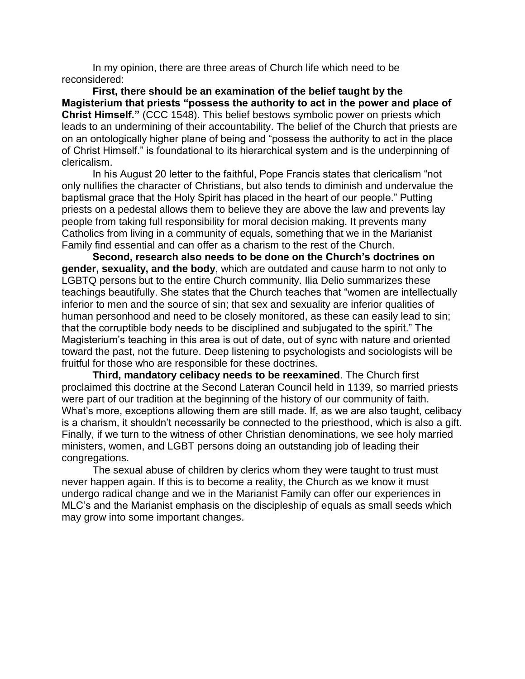In my opinion, there are three areas of Church life which need to be reconsidered:

**First, there should be an examination of the belief taught by the Magisterium that priests "possess the authority to act in the power and place of Christ Himself."** (CCC 1548). This belief bestows symbolic power on priests which leads to an undermining of their accountability. The belief of the Church that priests are on an ontologically higher plane of being and "possess the authority to act in the place of Christ Himself." is foundational to its hierarchical system and is the underpinning of clericalism.

In his August 20 letter to the faithful, Pope Francis states that clericalism "not only nullifies the character of Christians, but also tends to diminish and undervalue the baptismal grace that the Holy Spirit has placed in the heart of our people." Putting priests on a pedestal allows them to believe they are above the law and prevents lay people from taking full responsibility for moral decision making. It prevents many Catholics from living in a community of equals, something that we in the Marianist Family find essential and can offer as a charism to the rest of the Church.

**Second, research also needs to be done on the Church's doctrines on gender, sexuality, and the body**, which are outdated and cause harm to not only to LGBTQ persons but to the entire Church community. Ilia Delio summarizes these teachings beautifully. She states that the Church teaches that "women are intellectually inferior to men and the source of sin; that sex and sexuality are inferior qualities of human personhood and need to be closely monitored, as these can easily lead to sin; that the corruptible body needs to be disciplined and subjugated to the spirit." The Magisterium's teaching in this area is out of date, out of sync with nature and oriented toward the past, not the future. Deep listening to psychologists and sociologists will be fruitful for those who are responsible for these doctrines.

**Third, mandatory celibacy needs to be reexamined**. The Church first proclaimed this doctrine at the Second Lateran Council held in 1139, so married priests were part of our tradition at the beginning of the history of our community of faith. What's more, exceptions allowing them are still made. If, as we are also taught, celibacy is a charism, it shouldn't necessarily be connected to the priesthood, which is also a gift. Finally, if we turn to the witness of other Christian denominations, we see holy married ministers, women, and LGBT persons doing an outstanding job of leading their congregations.

The sexual abuse of children by clerics whom they were taught to trust must never happen again. If this is to become a reality, the Church as we know it must undergo radical change and we in the Marianist Family can offer our experiences in MLC's and the Marianist emphasis on the discipleship of equals as small seeds which may grow into some important changes.